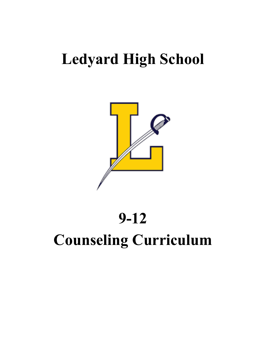## **Ledyard High School**



# **9-12 Counseling Curriculum**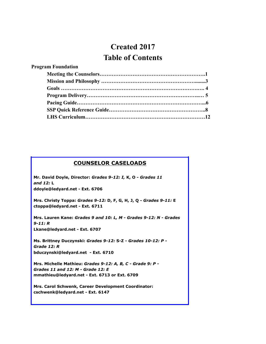## **Created 2017 Table of Contents**

#### **COUNSELOR CASELOADS**

**Mr. David Doyle, Director:** *Grades 9-12: I,* **K, O -** *Grades 11 and 12:* **L ddoyle@ledyard.net - Ext. 6706**

**Mrs. Christy Toppa:** *Grades 9-12:* **D, F, G, H, J, Q -** *Grades 9-11:* **E ctoppa@ledyard.net - Ext. 6711**

**Mrs. Lauren Kane:** *Grades 9 and 10: L, M - Grades 9-12: N - Grades 9-11: R* **Lkane@ledyard.net - Ext. 6707**

**Ms. Brittney Duczynski:** *Grades 9-12:* **S-Z -** *Grades 10-12: P - Grade 12: R* **bduczynski@ledyard.net - Ext. 6710**

**Mrs. Michelle Mathieu:** *Grades 9-12: A, B, C - Grade 9: P - Grades 11 and 12: M - Grade 12: E* **mmathieu@ledyard.net - Ext. 6713 or Ext. 6709**

**Mrs. Carol Schwenk, Career Development Coordinator: cschwenk@ledyard.net - Ext. 6147**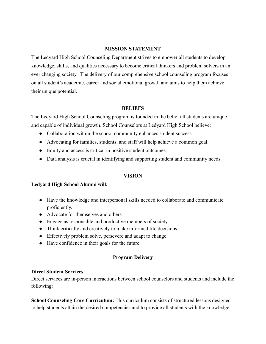#### **MISSION STATEMENT**

The Ledyard High School Counseling Department strives to empower all students to develop knowledge, skills, and qualities necessary to become critical thinkers and problem solvers in an ever changing society. The delivery of our comprehensive school counseling program focuses on all student's academic, career and social emotional growth and aims to help them achieve their unique potential.

#### **BELIEFS**

The Ledyard High School Counseling program is founded in the belief all students are unique and capable of individual growth. School Counselors at Ledyard High School believe:

- Collaboration within the school community enhances student success.
- Advocating for families, students, and staff will help achieve a common goal.
- Equity and access is critical in positive student outcomes.
- Data analysis is crucial in identifying and supporting student and community needs.

#### **VISION**

#### **Ledyard High School Alumni will:**

- Have the knowledge and interpersonal skills needed to collaborate and communicate proficiently.
- Advocate for themselves and others
- Engage as responsible and productive members of society.
- Think critically and creatively to make informed life decisions.
- Effectively problem solve, persevere and adapt to change.
- Have confidence in their goals for the future

#### **Program Delivery**

#### **Direct Student Services**

Direct services are in-person interactions between school counselors and students and include the following:

**School Counseling Core Curriculum:** This curriculum consists of structured lessons designed to help students attain the desired competencies and to provide all students with the knowledge,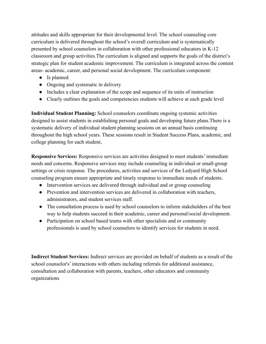attitudes and skills appropriate for their developmental level. The school counseling core curriculum is delivered throughout the school's overall curriculum and is systematically presented by school counselors in collaboration with other professional educators in K-12 classroom and group activities.The curriculum is aligned and supports the goals of the district's strategic plan for student academic improvement. The curriculum is integrated across the content areas- academic, career, and personal social development. The curriculum component:

- Is planned
- Ongoing and systematic in delivery
- Includes a clear explanation of the scope and sequence of its units of instruction
- Clearly outlines the goals and competencies students will achieve at each grade level

**Individual Student Planning:** School counselors coordinate ongoing systemic activities designed to assist students in establishing personal goals and developing future plans.There is a systematic delivery of individual student planning sessions on an annual basis continuing throughout the high school years. These sessions result in Student Success Plans, academic, and college planning for each student,

**Responsive Services:** Responsive services are activities designed to meet students' immediate needs and concerns. Responsive services may include counseling in individual or small-group settings or crisis response. The procedures, activities and services of the Ledyard High School counseling program ensure appropriate and timely response to immediate needs of students.

- Intervention services are delivered through individual and or group counseling
- Prevention and intervention services are delivered in collaboration with teachers, administrators, and student services staff.
- The consultation process is used by school counselors to inform stakeholders of the best way to help students succeed in their academic, career and personal/social development.
- Participation on school based teams with other specialists and or community professionals is used by school counselors to identify services for students in need.

**Indirect Student Services:** Indirect services are provided on behalf of students as a result of the school counselor's' interactions with others including referrals for additional assistance, consultation and collaboration with parents, teachers, other educators and community organizations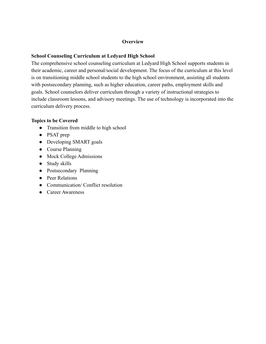#### **Overview**

### **School Counseling Curriculum at Ledyard High School**

The comprehensive school counseling curriculum at Ledyard High School supports students in their academic, career and personal/social development. The focus of the curriculum at this level is on transitioning middle school students to the high school environment, assisting all students with postsecondary planning, such as higher education, career paths, employment skills and goals. School counselors deliver curriculum through a variety of instructional strategies to include classroom lessons, and advisory meetings. The use of technology is incorporated into the curriculum delivery process.

#### **Topics to be Covered**

- Transition from middle to high school
- PSAT prep
- Developing SMART goals
- Course Planning
- Mock College Admissions
- Study skills
- Postsecondary Planning
- Peer Relations
- Communication/ Conflict resolution
- Career Awareness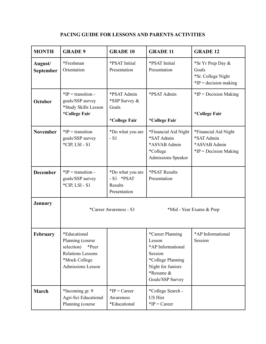| <b>MONTH</b>         | <b>GRADE 9</b>                                                                                                            | <b>GRADE 10</b>                                            | <b>GRADE 11</b>                                                                                                                       | <b>GRADE 12</b>                                                               |
|----------------------|---------------------------------------------------------------------------------------------------------------------------|------------------------------------------------------------|---------------------------------------------------------------------------------------------------------------------------------------|-------------------------------------------------------------------------------|
| August/<br>September | *Freshman<br>Orientation                                                                                                  | *PSAT Initial<br>Presentation                              | *PSAT Initial<br>Presentation                                                                                                         | *Sr Yr Prep Day &<br>Goals<br>*Sr. College Night<br>$*IP = decision making$   |
| <b>October</b>       | $*IP =$ transition -<br>goals/SSP survey<br>*Study Skills Lesson<br>*College Fair                                         | *PSAT Admin<br>*SSP Survey &<br>Goals<br>*College Fair     | *PSAT Admin<br>*College Fair                                                                                                          | $*IP = Decision Making$<br>*College Fair                                      |
| <b>November</b>      | $*IP =$ transition<br>goals/SSP survey<br>*CIP, LSI - S1                                                                  | *Do what you are<br>$-S1$                                  | *Financial Aid Night<br>*SAT Admin<br>*ASVAB Admin<br>*College<br><b>Admissions Speaker</b>                                           | *Financial Aid Night<br>*SAT Admin<br>*ASVAB Admin<br>$*IP = Decision Making$ |
| <b>December</b>      | $*IP = transition -$<br>goals/SSP survey<br>$^*CIP$ , LSI - S1                                                            | *Do what you are<br>$-S1$ *PSAT<br>Results<br>Presentation | *PSAT Results<br>Presentation                                                                                                         |                                                                               |
| <b>January</b>       | *Career Awareness - S1<br>*Mid - Year Exams & Prep                                                                        |                                                            |                                                                                                                                       |                                                                               |
| <b>February</b>      | *Educational<br>Planning (course<br>selection)<br>*Peer<br><b>Relations Lessons</b><br>*Mock College<br>Admissions Lesson |                                                            | *Career Planning<br>Lesson<br>*AP Informational<br>Session<br>*College Planning<br>Night for Juniors<br>*Resume &<br>Goals/SSP Survey | *AP Informational<br>Session                                                  |
| March                | *Incoming gr. 9<br>Agri-Sci Educational<br>Planning (course                                                               | $*IP = Career$<br>Awareness<br>*Educational                | *College Search -<br><b>US Hist</b><br>$*IP = Career$                                                                                 |                                                                               |

## **PACING GUIDE FOR LESSONS AND PARENTS ACTIVITIES**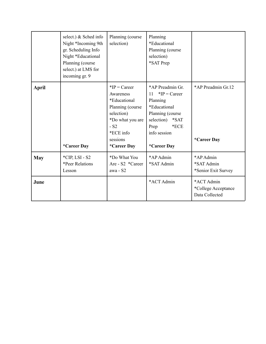|            | select.) & Sched info<br>Night *Incoming 9th<br>gr. Scheduling Info<br>Night *Educational<br>Planning (course<br>select.) at LMS for<br>incoming gr. 9 | Planning (course<br>selection)                                                                                                                     | Planning<br>*Educational<br>Planning (course<br>selection)<br>*SAT Prep                                                                                      |                                                     |
|------------|--------------------------------------------------------------------------------------------------------------------------------------------------------|----------------------------------------------------------------------------------------------------------------------------------------------------|--------------------------------------------------------------------------------------------------------------------------------------------------------------|-----------------------------------------------------|
| April      | *Career Day                                                                                                                                            | $*IP = Career$<br>Awareness<br>*Educational<br>Planning (course<br>selection)<br>*Do what you are<br>$-S2$<br>*ECE info<br>sessions<br>*Career Day | *AP Preadmin Gr.<br>$*IP = Career$<br>11<br>Planning<br>*Educational<br>Planning (course<br>selection) *SAT<br>$*ECE$<br>Prep<br>info session<br>*Career Day | *AP Preadmin Gr.12<br>*Career Day                   |
| <b>May</b> | $*CIP, LSI - S2$<br>*Peer Relations<br>Lesson                                                                                                          | *Do What You<br>Are - S2 *Career<br>awa - S2                                                                                                       | *AP Admin<br>*SAT Admin                                                                                                                                      | *AP Admin<br>*SAT Admin<br>*Senior Exit Survey      |
| June       |                                                                                                                                                        |                                                                                                                                                    | *ACT Admin                                                                                                                                                   | *ACT Admin<br>*College Acceptance<br>Data Collected |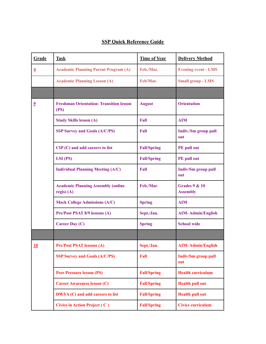## **SSP Quick Reference Guide**

| Grade                   | <b>Task</b>                                               | <b>Time of Year</b> | <b>Delivery Method</b>                      |
|-------------------------|-----------------------------------------------------------|---------------------|---------------------------------------------|
| $\underline{8}$         | <b>Academic Planning Parent Program (A)</b>               | Feb./Mar.           | <b>Evening event - LMS</b>                  |
|                         | <b>Academic Planning Lesson (A)</b>                       | Feb/Mar.            | <b>Small group - LMS</b>                    |
|                         |                                                           |                     |                                             |
| $\overline{\mathbf{2}}$ | <b>Freshman Orientation- Transition lesson</b><br>(PS)    | <b>August</b>       | <b>Orientation</b>                          |
|                         | <b>Study Skills lesson (A)</b>                            | Fall                | <b>AIM</b>                                  |
|                         | <b>SSP Survey and Goals (A/C/PS)</b>                      | Fall                | Indiv./Sm group pull<br>out                 |
|                         | $CIP(C)$ and add careers to list                          | <b>Fall/Spring</b>  | PE pull out                                 |
|                         | $LSI$ (PS)                                                | <b>Fall/Spring</b>  | PE pull out                                 |
|                         | <b>Individual Planning Meeting (A/C)</b>                  | Fall                | <b>Indiv/Sm group pull</b><br>out           |
|                         | <b>Academic Planning Assembly (online</b><br>$regis)$ (A) | Feb./Mar.           | <b>Grades 9 &amp; 10</b><br><b>Assembly</b> |
|                         | <b>Mock College Admissions (A/C)</b>                      | <b>Spring</b>       | <b>AIM</b>                                  |
|                         | Pre/Post PSAT 8/9 lessons (A)                             | Sept./Jan.          | <b>AIM-Admin/English</b>                    |
|                         | <b>Career Day (C)</b>                                     | <b>Spring</b>       | <b>School wide</b>                          |
|                         |                                                           |                     |                                             |
| 10                      | <b>Pre/Post PSAT lessons (A)</b>                          | Sept./Jan.          | AIM- Admin/English                          |
|                         | <b>SSP Survey and Goals (A/C/PS)</b>                      | Fall                | <b>Indiv/Sm group pull</b><br>out           |
|                         | <b>Peer Pressure lesson (PS)</b>                          | <b>Fall/Spring</b>  | <b>Health curriculum</b>                    |
|                         | <b>Career Awareness lesson (C)</b>                        | <b>Fall/Spring</b>  | <b>Health pull out</b>                      |
|                         | DWYA (C) and add careers to list                          | <b>Fall/Spring</b>  | <b>Health pull out</b>                      |
|                         | Civics in Action Project (C)                              | <b>Fall/Spring</b>  | <b>Civics curriculum</b>                    |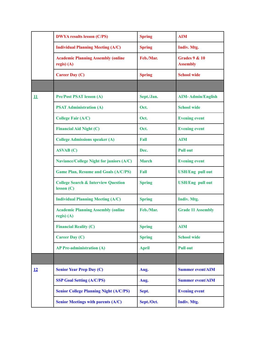|    | <b>DWYA results lesson (C/PS)</b>                           | <b>Spring</b> | <b>AIM</b>                         |
|----|-------------------------------------------------------------|---------------|------------------------------------|
|    | <b>Individual Planning Meeting (A/C)</b>                    | <b>Spring</b> | Indiv. Mtg.                        |
|    | <b>Academic Planning Assembly (online</b><br>$regis)$ (A)   | Feb./Mar.     | Grades $9 & 10$<br><b>Assembly</b> |
|    | <b>Career Day (C)</b>                                       | <b>Spring</b> | <b>School wide</b>                 |
|    |                                                             |               |                                    |
| 11 | <b>Pre/Post PSAT lesson (A)</b>                             | Sept./Jan.    | <b>AIM-Admin/English</b>           |
|    | <b>PSAT Administration (A)</b>                              | Oct.          | <b>School wide</b>                 |
|    | <b>College Fair (A/C)</b>                                   | Oct.          | <b>Evening event</b>               |
|    | <b>Financial Aid Night (C)</b>                              | Oct.          | <b>Evening event</b>               |
|    | <b>College Admissions speaker (A)</b>                       | Fall          | <b>AIM</b>                         |
|    | <b>ASVAB</b> (C)                                            | Dec.          | <b>Pull out</b>                    |
|    | <b>Naviance/College Night for juniors (A/C)</b>             | <b>March</b>  | <b>Evening event</b>               |
|    | <b>Game Plan, Resume and Goals (A/C/PS)</b>                 | Fall          | <b>USH/Eng pull out</b>            |
|    | <b>College Search &amp; Interview Question</b><br>lesson(C) | <b>Spring</b> | <b>USH/Eng pull out</b>            |
|    | <b>Individual Planning Meeting (A/C)</b>                    | <b>Spring</b> | Indiv. Mtg.                        |
|    | <b>Academic Planning Assembly (online</b><br>$regis)$ (A)   | Feb./Mar.     | <b>Grade 11 Assembly</b>           |
|    | <b>Financial Reality (C)</b>                                | <b>Spring</b> | <b>AIM</b>                         |
|    | <b>Career Day (C)</b>                                       | <b>Spring</b> | <b>School wide</b>                 |
|    | <b>AP Pre-administration (A)</b>                            | <b>April</b>  | <b>Pull out</b>                    |
|    |                                                             |               |                                    |
| 12 | <b>Senior Year Prep Day (C)</b>                             | Aug.          | <b>Summer event/AIM</b>            |
|    | <b>SSP Goal Setting (A/C/PS)</b>                            | Aug.          | <b>Summer event/AIM</b>            |
|    | <b>Senior College Planning Night (A/C/PS)</b>               | Sept.         | <b>Evening event</b>               |
|    | <b>Senior Meetings with parents (A/C)</b>                   | Sept./Oct.    | <b>Indiv. Mtg.</b>                 |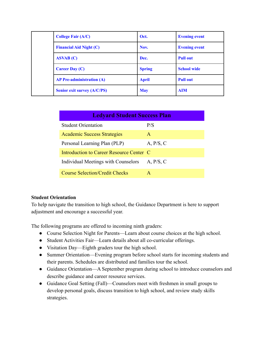|  | <b>College Fair (A/C)</b>          | Oct.          | <b>Evening event</b> |
|--|------------------------------------|---------------|----------------------|
|  | <b>Financial Aid Night (C)</b>     | Nov.          | <b>Evening event</b> |
|  | ASVAB(C)                           | Dec.          | <b>Pull out</b>      |
|  | <b>Career Day (C)</b>              | <b>Spring</b> | <b>School wide</b>   |
|  | <b>AP Pre-administration (A)</b>   | <b>April</b>  | <b>Pull out</b>      |
|  | <b>Senior exit survey (A/C/PS)</b> | <b>May</b>    | <b>AIM</b>           |

| <b>Ledyard Student Success Plan</b>      |           |  |  |  |
|------------------------------------------|-----------|--|--|--|
| <b>Student Orientation</b>               | P/S       |  |  |  |
| <b>Academic Success Strategies</b>       | A         |  |  |  |
| Personal Learning Plan (PLP)             | A, P/S, C |  |  |  |
| Introduction to Career Resource Center C |           |  |  |  |
| Individual Meetings with Counselors      | A, P/S, C |  |  |  |
| <b>Course Selection/Credit Checks</b>    | A         |  |  |  |

#### **Student Orientation**

To help navigate the transition to high school, the Guidance Department is here to support adjustment and encourage a successful year.

The following programs are offered to incoming ninth graders:

- Course Selection Night for Parents—Learn about course choices at the high school.
- Student Activities Fair—Learn details about all co-curricular offerings.
- Visitation Day—Eighth graders tour the high school.
- Summer Orientation—Evening program before school starts for incoming students and their parents. Schedules are distributed and families tour the school.
- Guidance Orientation—A September program during school to introduce counselors and describe guidance and career resource services.
- Guidance Goal Setting (Fall)—Counselors meet with freshmen in small groups to develop personal goals, discuss transition to high school, and review study skills strategies.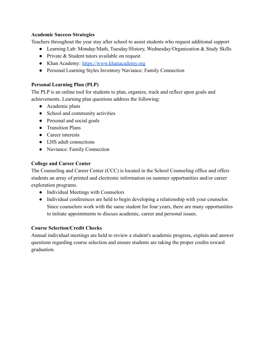#### **Academic Success Strategies**

Teachers throughout the year stay after school to assist students who request additional support

- Learning Lab: Monday/Math, Tuesday/History, Wednesday/Organization & Study Skills
- Private & Student tutors available on request
- Khan Academy: <https://www.khanacademy.org>
- Personal Learning Styles Inventory Naviance: Family Connection

### **Personal Learning Plan (PLP)**

The PLP is an online tool for students to plan, organize, track and reflect upon goals and achievements. Learning plan questions address the following:

- Academic plans
- School and community activities
- Personal and social goals
- Transition Plans
- Career interests
- LHS adult connections
- Naviance: Family Connection

## **College and Career Center**

The Counseling and Career Center (CCC) is located in the School Counseling office and offers students an array of printed and electronic information on summer opportunities and/or career exploration programs.

- Individual Meetings with Counselors
- Individual conferences are held to begin developing a relationship with your counselor. Since counselors work with the same student for four years, there are many opportunities to initiate appointments to discuss academic, career and personal issues.

## **Course Selection/Credit Checks**

Annual individual meetings are held to review a student's academic progress, explain and answer questions regarding course selection and ensure students are taking the proper credits toward graduation.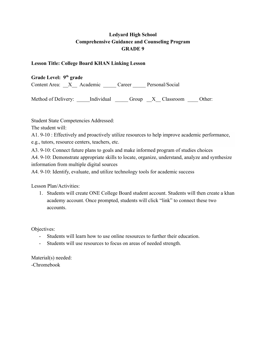#### **Lesson Title: College Board KHAN Linking Lesson**

**Grade Level: 9th grade** Content Area: \_\_X\_\_ Academic \_\_\_\_\_ Career \_\_\_\_\_ Personal/Social

Method of Delivery: <br>Individual Group X Classroom Other:

Student State Competencies Addressed:

The student will:

A1. 9-10 : Effectively and proactively utilize resources to help improve academic performance,

e.g., tutors, resource centers, teachers, etc.

A3. 9-10: Connect future plans to goals and make informed program of studies choices

A4. 9-10: Demonstrate appropriate skills to locate, organize, understand, analyze and synthesize information from multiple digital sources

A4. 9-10: Identify, evaluate, and utilize technology tools for academic success

Lesson Plan/Activities:

1. Students will create ONE College Board student account. Students will then create a khan academy account. Once prompted, students will click "link" to connect these two accounts.

Objectives:

- Students will learn how to use online resources to further their education.
- Students will use resources to focus on areas of needed strength.

Material(s) needed: -Chromebook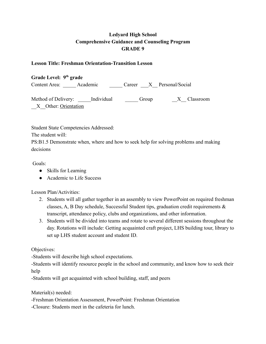#### **Lesson Title: Freshman Orientation-Transition Lesson**

**Grade Level: 9th grade** Content Area: Academic Career X Personal/Social

Method of Delivery: Lindividual Group The Classroom X Other: Orientation

Student State Competencies Addressed:

The student will:

PS:B1.5 Demonstrate when, where and how to seek help for solving problems and making decisions

Goals:

- Skills for Learning
- Academic to Life Success

Lesson Plan/Activities:

- 2. Students will all gather together in an assembly to view PowerPoint on required freshman classes, A, B Day schedule, Successful Student tips, graduation credit requirements & transcript, attendance policy, clubs and organizations, and other information.
- 3. Students will be divided into teams and rotate to several different sessions throughout the day. Rotations will include: Getting acquainted craft project, LHS building tour, library to set up LHS student account and student ID.

Objectives:

-Students will describe high school expectations.

-Students will identify resource people in the school and community, and know how to seek their help

-Students will get acquainted with school building, staff, and peers

Material(s) needed:

-Freshman Orientation Assessment, PowerPoint: Freshman Orientation

-Closure: Students meet in the cafeteria for lunch.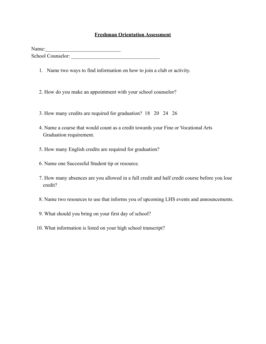#### **Freshman Orientation Assessment**

Name: 2008. 2008. 2010. 2010. 2010. 2010. 2010. 2010. 2010. 2010. 2010. 2010. 2010. 2010. 2010. 2010. 2010. 20<br>2010. 2010. 2010. 2010. 2010. 2010. 2010. 2010. 2010. 2010. 2010. 2010. 2010. 2010. 2010. 2010. 2010. 2010. 20 School Counselor:

- 1. Name two ways to find information on how to join a club or activity.
- 2. How do you make an appointment with your school counselor?
- 3. How many credits are required for graduation? 18 20 24 26
- 4. Name a course that would count as a credit towards your Fine or Vocational Arts Graduation requirement.
- 5. How many English credits are required for graduation?
- 6. Name one Successful Student tip or resource.
- 7. How many absences are you allowed in a full credit and half credit course before you lose credit?
- 8. Name two resources to use that informs you of upcoming LHS events and announcements.
- 9. What should you bring on your first day of school?
- 10. What information is listed on your high school transcript?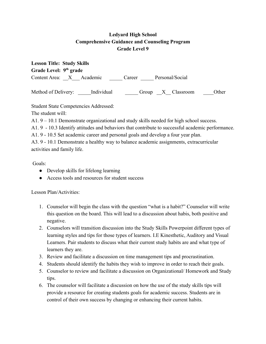| <b>Lesson Title: Study Skills</b>  |                           |       |  |  |  |
|------------------------------------|---------------------------|-------|--|--|--|
| Grade Level: 9 <sup>th</sup> grade |                           |       |  |  |  |
| Content Area: X Academic           | Personal/Social<br>Career |       |  |  |  |
| Method of Delivery:<br>Individual  | Group X Classroom         | Other |  |  |  |

Student State Competencies Addressed:

The student will:

A1. 9 – 10.1 Demonstrate organizational and study skills needed for high school success.

A1. 9 - 10.3 Identify attitudes and behaviors that contribute to successful academic performance.

A1. 9 - 10.5 Set academic career and personal goals and develop a four year plan.

A3. 9 - 10.1 Demonstrate a healthy way to balance academic assignments, extracurricular activities and family life.

Goals:

- Develop skills for lifelong learning
- Access tools and resources for student success

Lesson Plan/Activities:

- 1. Counselor will begin the class with the question "what is a habit?" Counselor will write this question on the board. This will lead to a discussion about habis, both positive and negative.
- 2. Counselors will transition discussion into the Study Skills Powerpoint different types of learning styles and tips for those types of learners. I.E Kinesthetic, Auditory and Visual Learners. Pair students to discuss what their current study habits are and what type of learners they are.
- 3. Review and facilitate a discussion on time management tips and procrastination.
- 4. Students should identify the habits they wish to improve in order to reach their goals.
- 5. Counselor to review and facilitate a discussion on Organizational/ Homework and Study tips.
- 6. The counselor will facilitate a discussion on how the use of the study skills tips will provide a resource for creating students goals for academic success. Students are in control of their own success by changing or enhancing their current habits.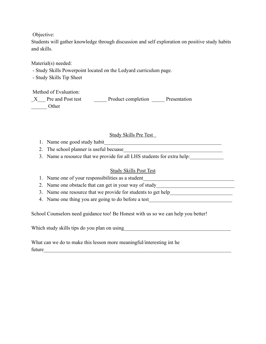Objective:

Students will gather knowledge through discussion and self exploration on positive study habits and skills.

Material(s) needed:

- Study Skills Powerpoint located on the Ledyard curriculum page.

- Study Skills Tip Sheet

Method of Evaluation:

X Pre and Post test Product completion Presentation \_\_\_\_\_\_ Other

## Study Skills Pre Test

- 1. Name one good study habit
- 2. The school planner is useful becuase
- 3. Name a resource that we provide for all LHS students for extra help:

#### Study Skills Post Test

- 1. Name one of your responsibilities as a student
- 2. Name one obstacle that can get in your way of study\_\_\_\_\_\_\_\_\_\_\_\_\_\_\_\_\_\_\_\_\_\_\_\_\_\_\_
- 3. Name one resource that we provide for students to get help\_\_\_\_\_\_\_\_\_\_\_\_\_\_\_\_\_\_\_\_
- 4. Name one thing you are going to do before a test

School Counselors need guidance too! Be Honest with us so we can help you better!

Which study skills tips do you plan on using\_\_\_\_\_\_\_\_\_\_\_\_\_\_\_\_\_\_\_\_\_\_\_\_\_\_\_\_\_\_\_\_\_\_\_\_\_\_\_\_\_

What can we do to make this lesson more meaningful/interesting int he future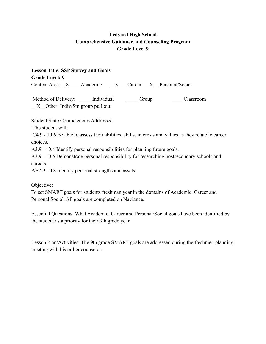**Lesson Title: SSP Survey and Goals Grade Level: 9** Content Area: X Academic X Career X Personal/Social

Method of Delivery: <br>  $\blacksquare$  Individual  $\blacksquare$  Group  $\blacksquare$  Classroom X Other: Indiv/Sm group pull out

Student State Competencies Addressed:

The student will:

C4.9 - 10.6 Be able to assess their abilities, skills, interests and values as they relate to career choices.

A3.9 - 10.4 Identify personal responsibilities for planning future goals.

A3.9 - 10.5 Demonstrate personal responsibility for researching postsecondary schools and careers.

P/S7.9-10.8 Identify personal strengths and assets.

Objective:

To set SMART goals for students freshman year in the domains of Academic, Career and Personal Social. All goals are completed on Naviance.

Essential Questions: What Academic, Career and Personal/Social goals have been identified by the student as a priority for their 9th grade year.

Lesson Plan/Activities: The 9th grade SMART goals are addressed during the freshmen planning meeting with his or her counselor.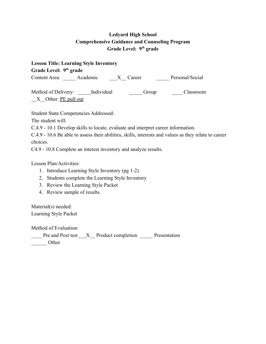| <b>Lesson Title: Learning Style Inventory</b>            |  |          |                 |  |
|----------------------------------------------------------|--|----------|-----------------|--|
| Grade Level: 9 <sup>th</sup> grade                       |  |          |                 |  |
| Content Area: Academic                                   |  | X Career | Personal/Social |  |
| Method of Delivery: Individual<br>$X$ Other: PE pull out |  | Group    | Classroom       |  |

Student State Competencies Addressed:

The student will:

C.4.9 - 10.1 Develop skills to locate, evaluate and interpret career information.

C.4.9 - 10.6 Be able to assess their abilities, skills, interests and values as they relate to career choices.

C4.9 - 10.8 Complete an interest inventory and analyze results.

Lesson Plan/Activities:

- 1. Introduce Learning Style Inventory (pg 1-2).
- 2. Students complete the Learning Style Inventory
- 3. Review the Learning Style Packet
- 4. Review sample of results.

Material(s) needed: Learning Style Packet

Method of Evaluation:

\_\_\_\_ Pre and Post test\_\_\_X\_\_ Product completion \_\_\_\_\_ Presentation \_\_\_\_\_\_ Other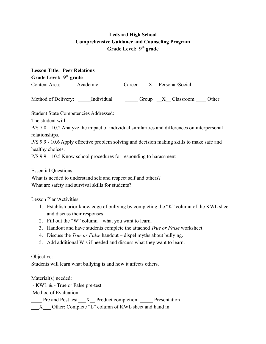| <b>Lesson Title: Peer Relations</b> |                                                                      |  |                                                                                                 |  |
|-------------------------------------|----------------------------------------------------------------------|--|-------------------------------------------------------------------------------------------------|--|
| Grade Level: 9 <sup>th</sup> grade  |                                                                      |  |                                                                                                 |  |
|                                     | Content Area: Academic Career X Personal/Social                      |  |                                                                                                 |  |
|                                     | Method of Delivery: Individual                                       |  | Group X Classroom Other                                                                         |  |
|                                     | <b>Student State Competencies Addressed:</b>                         |  |                                                                                                 |  |
| The student will:                   |                                                                      |  |                                                                                                 |  |
|                                     |                                                                      |  | $P/S 7.0 - 10.2$ Analyze the impact of individual similarities and differences on interpersonal |  |
| relationships.                      |                                                                      |  |                                                                                                 |  |
|                                     |                                                                      |  | P/S 9.9 - 10.6 Apply effective problem solving and decision making skills to make safe and      |  |
| healthy choices.                    |                                                                      |  |                                                                                                 |  |
|                                     | $P/S$ 9.9 – 10.5 Know school procedures for responding to harassment |  |                                                                                                 |  |

Essential Questions:

What is needed to understand self and respect self and others? What are safety and survival skills for students?

Lesson Plan/Activities

- 1. Establish prior knowledge of bullying by completing the "K" column of the KWL sheet and discuss their responses.
- 2. Fill out the "W" column what you want to learn.
- 3. Handout and have students complete the attached *True or False* worksheet.
- 4. Discuss the *True or False* handout dispel myths about bullying.
- 5. Add additional W's if needed and discuss what they want to learn.

Objective:

Students will learn what bullying is and how it affects others.

Material(s) needed:

- KWL & - True or False pre-test

Method of Evaluation:

Pre and Post test X Product completion Presentation

X Other: Complete "L" column of KWL sheet and hand in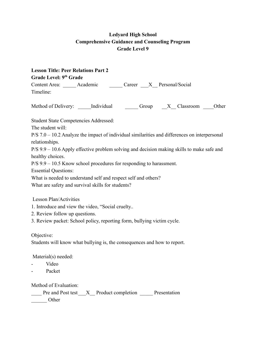| <b>Lesson Title: Peer Relations Part 2</b><br>Grade Level: 9th Grade                            |
|-------------------------------------------------------------------------------------------------|
| Content Area: ______ Academic _______ Career ____X__ Personal/Social                            |
| Timeline:                                                                                       |
| Method of Delivery: _____ Individual __________ Group _____X___ Classroom _____ Other           |
| <b>Student State Competencies Addressed:</b>                                                    |
| The student will:                                                                               |
| $P/S 7.0 - 10.2$ Analyze the impact of individual similarities and differences on interpersonal |
| relationships.                                                                                  |
| $P/S$ 9.9 – 10.6 Apply effective problem solving and decision making skills to make safe and    |
| healthy choices.                                                                                |
| $P/S$ 9.9 – 10.5 Know school procedures for responding to harassment.                           |
| <b>Essential Questions:</b>                                                                     |
| What is needed to understand self and respect self and others?                                  |
| What are safety and survival skills for students?                                               |
| <b>Lesson Plan/Activities</b>                                                                   |
| 1. Introduce and view the video, "Social cruelty                                                |
| 2. Review follow up questions.                                                                  |
| 3. Review packet: School policy, reporting form, bullying victim cycle.                         |
| Objective:                                                                                      |
| Students will know what bullying is, the consequences and how to report.                        |
| Material(s) needed:                                                                             |
| Video                                                                                           |
| Packet                                                                                          |

Method of Evaluation:

|       | Pre and Post test X Product completion | Presentation |
|-------|----------------------------------------|--------------|
| Other |                                        |              |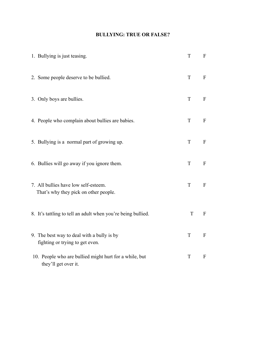## **BULLYING: TRUE OR FALSE?**

| 1. Bullying is just teasing.                                                   | T           | $\mathbf{F}$              |
|--------------------------------------------------------------------------------|-------------|---------------------------|
| 2. Some people deserve to be bullied.                                          | T           | F                         |
| 3. Only boys are bullies.                                                      | T           | $\mathbf{F}$              |
| 4. People who complain about bullies are babies.                               | T           | $\mathbf{F}$              |
| 5. Bullying is a normal part of growing up.                                    | T           | $\mathbf F$               |
| 6. Bullies will go away if you ignore them.                                    | $\mathbf T$ | $\boldsymbol{\mathrm{F}}$ |
| 7. All bullies have low self-esteem.<br>That's why they pick on other people.  | T           | $\mathbf{F}$              |
| 8. It's tattling to tell an adult when you're being bullied.                   | T           | $\mathbf{F}$              |
| 9. The best way to deal with a bully is by<br>fighting or trying to get even.  | T           | $\boldsymbol{\mathrm{F}}$ |
| 10. People who are bullied might hurt for a while, but<br>they'll get over it. | T           | F                         |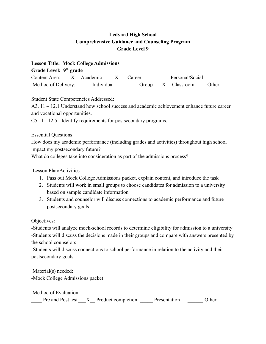**Lesson Title: Mock College Admissions Grade Level: 9th grade** Content Area: X Academic X Career Personal/Social Method of Delivery: \_\_\_\_\_Individual \_\_\_\_\_\_\_\_\_ Group \_\_X\_\_\_ Classroom \_\_\_\_ Other

Student State Competencies Addressed:

A3. 11 – 12.1 Understand how school success and academic achievement enhance future career and vocational opportunities.

C5.11 - 12.5 - Identify requirements for postsecondary programs.

Essential Questions:

How does my academic performance (including grades and activities) throughout high school impact my postsecondary future?

What do colleges take into consideration as part of the admissions process?

Lesson Plan/Activities

- 1. Pass out Mock College Admissions packet, explain content, and introduce the task
- 2. Students will work in small groups to choose candidates for admission to a university based on sample candidate information
- 3. Students and counselor will discuss connections to academic performance and future postsecondary goals

Objectives:

-Students will analyze mock-school records to determine eligibility for admission to a university -Students will discuss the decisions made in their groups and compare with answers presented by the school counselors

-Students will discuss connections to school performance in relation to the activity and their postsecondary goals

Material(s) needed: -Mock College Admissions packet

Method of Evaluation:

Pre and Post test X Product completion Presentation Other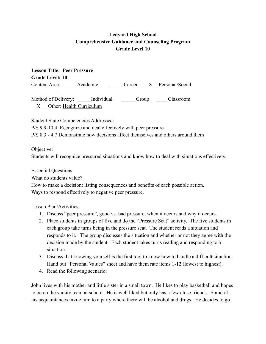**Lesson Title: Peer Pressure Grade Level: 10** Content Area: Academic Career X Personal/Social

Method of Delivery: Limitudual Group Classroom \_\_X\_\_\_Other: Health Curriculum

Student State Competencies Addressed:

P/S 9.9-10.4 Recognize and deal effectively with peer pressure.

P/S 8.3 - 4.7 Demonstrate how decisions affect themselves and others around them

Objective:

Students will recognize pressured situations and know how to deal with situations effectively.

Essential Questions:

What do students value?

How to make a decision: listing consequences and benefits of each possible action. Ways to respond effectively to negative peer pressure.

Lesson Plan/Activities:

- 1. Discuss "peer pressure", good vs. bad pressure, when it occurs and why it occurs.
- 2. Place students in groups of five and do the "Pressure Seat" activity. The five students in each group take turns being in the pressure seat. The student reads a situation and responds to it. The group discusses the situation and whether or not they agree with the decision made by the student. Each student takes turns reading and responding to a situation.
- 3. Discuss that knowing yourself is the first tool to know how to handle a difficult situation. Hand out "Personal Values" sheet and have them rate items 1-12 (lowest to highest).
- 4. Read the following scenario:

John lives with his mother and little sister in a small town. He likes to play basketball and hopes to be on the varsity team at school. He is well liked but only has a few close friends. Some of his acquaintances invite him to a party where there will be alcohol and drugs. He decides to go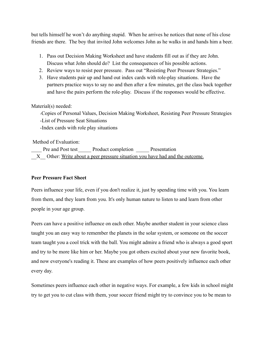but tells himself he won't do anything stupid. When he arrives he notices that none of his close friends are there. The boy that invited John welcomes John as he walks in and hands him a beer.

- 1. Pass out Decision Making Worksheet and have students fill out as if they are John. Discuss what John should do? List the consequences of his possible actions.
- 2. Review ways to resist peer pressure. Pass out "Resisting Peer Pressure Strategies."
- 3. Have students pair up and hand out index cards with role-play situations. Have the partners practice ways to say no and then after a few minutes, get the class back together and have the pairs perform the role-play. Discuss if the responses would be effective.

#### Material(s) needed:

-Copies of Personal Values, Decision Making Worksheet, Resisting Peer Pressure Strategies -List of Pressure Seat Situations

-Index cards with role play situations

Method of Evaluation:

Pre and Post test Product completion Presentation X Other: Write about a peer pressure situation you have had and the outcome.

#### **Peer Pressure Fact Sheet**

Peers influence your life, even if you don't realize it, just by spending time with you. You learn from them, and they learn from you. It's only human nature to listen to and learn from other people in your age group.

Peers can have a positive influence on each other. Maybe another student in your science class taught you an easy way to remember the planets in the solar system, or someone on the soccer team taught you a cool trick with the ball. You might admire a friend who is always a good sport and try to be more like him or her. Maybe you got others excited about your new favorite book, and now everyone's reading it. These are examples of how peers positively influence each other every day.

Sometimes peers influence each other in negative ways. For example, a few kids in school might try to get you to cut class with them, your soccer friend might try to convince you to be mean to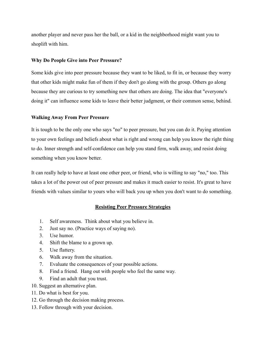another player and never pass her the ball, or a kid in the neighborhood might want you to shoplift with him.

#### **Why Do People Give into Peer Pressure?**

Some kids give into peer pressure because they want to be liked, to fit in, or because they worry that other kids might make fun of them if they don't go along with the group. Others go along because they are curious to try something new that others are doing. The idea that "everyone's doing it" can influence some kids to leave their better judgment, or their common sense, behind.

#### **Walking Away From Peer Pressure**

It is tough to be the only one who says "no" to peer pressure, but you can do it. Paying attention to your own feelings and beliefs about what is right and wrong can help you know the right thing to do. Inner strength and self-confidence can help you stand firm, walk away, and resist doing something when you know better.

It can really help to have at least one other peer, or friend, who is willing to say "no," too. This takes a lot of the power out of peer pressure and makes it much easier to resist. It's great to have friends with values similar to yours who will back you up when you don't want to do something.

#### **Resisting Peer Pressure Strategies**

- 1. Self awareness. Think about what you believe in.
- 2. Just say no. (Practice ways of saying no).
- 3. Use humor.
- 4. Shift the blame to a grown up.
- 5. Use flattery.
- 6. Walk away from the situation.
- 7. Evaluate the consequences of your possible actions.
- 8. Find a friend. Hang out with people who feel the same way.
- 9. Find an adult that you trust.
- 10. Suggest an alternative plan.
- 11. Do what is best for you.
- 12. Go through the decision making process.
- 13. Follow through with your decision.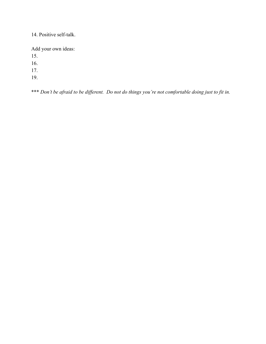14. Positive self-talk.

Add your own ideas:

15.

16.

17.

19.

\*\*\* *Don't be afraid to be different. Do not do things you're not comfortable doing just to fit in.*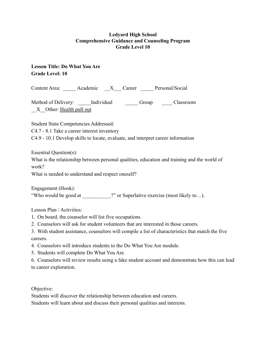### **Lesson Title: Do What You Are Grade Level: 10**

Content Area: Academic X Career Personal/Social

Method of Delivery: Lindividual Group Classroom X Other: Health pull out

Student State Competencies Addressed:

C4.7 - 8.1 Take a career interest inventory

C4.9 - 10.1 Develop skills to locate, evaluate, and interpret career information

Essential Question(s):

What is the relationship between personal qualities, education and training and the world of work?

What is needed to understand and respect oneself?

Engagement (Hook):

"Who would be good at <br>
<sup>2"</sup> or Superlative exercise (most likely to...).

Lesson Plan / Activities:

- 1. On board, the counselor will list five occupations.
- 2. Counselors will ask for student volunteers that are interested in those careers.
- 3. With student assistance, counselors will compile a list of characteristics that match the five careers.
- 4. Counselors will introduce students to the Do What You Are module.
- 5. Students will complete Do What You Are.

6. Counselors will review results using a fake student account and demonstrate how this can lead to career exploration.

Objective:

Students will discover the relationship between education and careers.

Students will learn about and discuss their personal qualities and interests.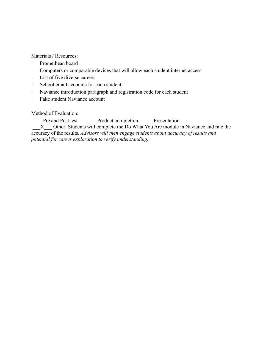Materials / Resources:

- · Promethean board
- · Computers or comparable devices that will allow each student internet access
- · List of five diverse careers
- · School email accounts for each student
- · Naviance introduction paragraph and registration code for each student
- · Fake student Naviance account

Method of Evaluation:

Pre and Post test \_\_\_\_\_\_ Product completion \_\_\_\_\_\_ Presentation

 $\overline{X}$  Other: Students will complete the Do What You Are module in Naviance and rate the accuracy of the results. *Advisors will then engage students about accuracy of results and potential for career exploration to verify understanding.*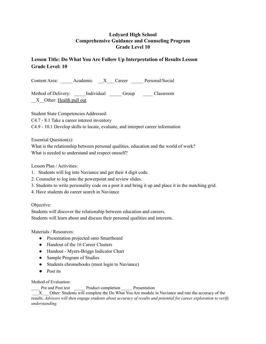## **Lesson Title: Do What You Are Follow Up Interpretation of Results Lesson Grade Level: 10**

Content Area: \_\_\_\_\_ Academic \_\_X\_\_\_ Career \_\_\_\_\_ Personal/Social

Method of Delivery: <br>Individual Group Classroom X Other: Health pull out

Student State Competencies Addressed: C4.7 - 8.1 Take a career interest inventory C4.9 - 10.1 Develop skills to locate, evaluate, and interpret career information

Essential Question(s):

What is the relationship between personal qualities, education and the world of work? What is needed to understand and respect oneself?

Lesson Plan / Activities:

- 1. Students will log into Naviance and get their 4 digit code.
- 2. Counselor to log into the powerpoint and review slides.
- 3. Students to write personality code on a post it and bring it up and place it in the matching grid.
- 4. Have students do career search in Naviance

Objective:

Students will discover the relationship between education and careers. Students will learn about and discuss their personal qualities and interests.

Materials / Resources:

- Presentation projected onto Smartboard
- Handout of the 16 Career Clusters
- Handout Myers-Briggs Indicator Chart
- Sample Program of Studies
- Students chromebooks (must login to Naviance)
- Post its

Method of Evaluation:

Pre and Post test Product completion Presentation

\_\_\_X\_\_\_ Other: Students will complete the Do What You Are module in Naviance and rate the accuracy of the results. Advisors will then engage students about accuracy of results and potential for career exploration to verify *understanding.*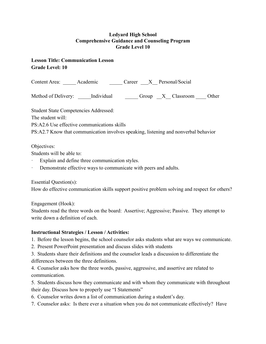## **Lesson Title: Communication Lesson Grade Level: 10**

Content Area: Academic Career X Personal/Social

Method of Delivery: <br>Individual Group X Classroom Other

Student State Competencies Addressed:

The student will:

PS:A2.6 Use effective communications skills

PS:A2.7 Know that communication involves speaking, listening and nonverbal behavior

Objectives:

Students will be able to:

- Explain and define three communication styles.
- Demonstrate effective ways to communicate with peers and adults.

Essential Question(s):

How do effective communication skills support positive problem solving and respect for others?

Engagement (Hook):

Students read the three words on the board: Assertive; Aggressive; Passive. They attempt to write down a definition of each.

### **Instructional Strategies / Lesson / Activities:**

1. Before the lesson begins, the school counselor asks students what are ways we communicate.

2. Present PowerPoint presentation and discuss slides with students

3. Students share their definitions and the counselor leads a discussion to differentiate the differences between the three definitions.

4. Counselor asks how the three words, passive, aggressive, and assertive are related to communication.

5. Students discuss how they communicate and with whom they communicate with throughout their day. Discuss how to properly use "I Statements"

- 6. Counselor writes down a list of communication during a student's day.
- 7. Counselor asks: Is there ever a situation when you do not communicate effectively? Have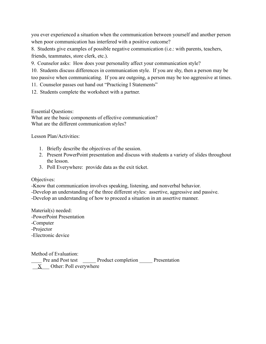you ever experienced a situation when the communication between yourself and another person when poor communication has interfered with a positive outcome?

8. Students give examples of possible negative communication (i.e.: with parents, teachers, friends, teammates, store clerk, etc.).

9. Counselor asks: How does your personality affect your communication style?

10. Students discuss differences in communication style. If you are shy, then a person may be too passive when communicating. If you are outgoing, a person may be too aggressive at times.

11. Counselor passes out hand out "Practicing I Statements"

12. Students complete the worksheet with a partner.

Essential Questions:

What are the basic components of effective communication? What are the different communication styles?

Lesson Plan/Activities:

- 1. Briefly describe the objectives of the session.
- 2. Present PowerPoint presentation and discuss with students a variety of slides throughout the lesson.
- 3. Poll Everywhere: provide data as the exit ticket.

Objectives:

-Know that communication involves speaking, listening, and nonverbal behavior.

-Develop an understanding of the three different styles: assertive, aggressive and passive.

-Develop an understanding of how to proceed a situation in an assertive manner.

Material(s) needed: -PowerPoint Presentation -Computer -Projector -Electronic device

Method of Evaluation:

Pre and Post test Product completion Presentation  $\underline{X}$  Other: Poll everywhere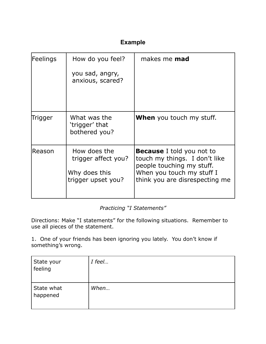## **Example**

| Feelings | How do you feel?                                                           | makes me <b>mad</b>                                                                                                                                           |
|----------|----------------------------------------------------------------------------|---------------------------------------------------------------------------------------------------------------------------------------------------------------|
|          | you sad, angry,<br>anxious, scared?                                        |                                                                                                                                                               |
| Trigger  | What was the<br>'trigger' that<br>bothered you?                            | When you touch my stuff.                                                                                                                                      |
| Reason   | How does the<br>trigger affect you?<br>Why does this<br>trigger upset you? | <b>Because</b> I told you not to<br>touch my things. I don't like<br>people touching my stuff.<br>When you touch my stuff I<br>think you are disrespecting me |

*Practicing "I Statements"*

Directions: Make "I statements" for the following situations. Remember to use all pieces of the statement.

1. One of your friends has been ignoring you lately. You don't know if something's wrong.

| State your<br>feeling  | I feel |
|------------------------|--------|
| State what<br>happened | When   |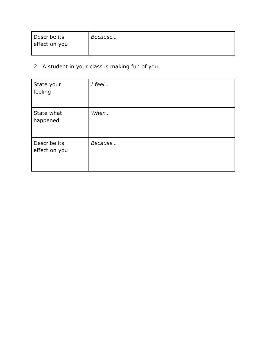| Describe its<br>effect on you | Because |
|-------------------------------|---------|
|                               |         |

2. A student in your class is making fun of you.

| State your<br>feeling         | I feel  |
|-------------------------------|---------|
| State what<br>happened        | When    |
| Describe its<br>effect on you | Because |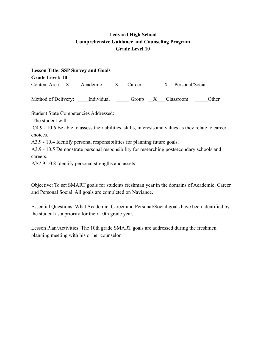| <b>Lesson Title: SSP Survey and Goals</b>                                                            |
|------------------------------------------------------------------------------------------------------|
| <b>Grade Level: 10</b>                                                                               |
| Content Area: X Academic X Career X Personal/Social                                                  |
| Method of Delivery: _____Individual ________Group ___X____Classroom _______<br>Other                 |
| <b>Student State Competencies Addressed:</b>                                                         |
| The student will:                                                                                    |
| C4.9 - 10.6 Be able to assess their abilities, skills, interests and values as they relate to career |
| choices.                                                                                             |
| A3.9 - 10.4 Identify personal responsibilities for planning future goals.                            |
| A3.9 - 10.5 Demonstrate personal responsibility for researching postsecondary schools and            |
| careers.                                                                                             |
| P/S7.9-10.8 Identify personal strengths and assets.                                                  |

Objective: To set SMART goals for students freshman year in the domains of Academic, Career and Personal Social. All goals are completed on Naviance.

Essential Questions: What Academic, Career and Personal/Social goals have been identified by the student as a priority for their 10th grade year.

Lesson Plan/Activities: The 10th grade SMART goals are addressed during the freshmen planning meeting with his or her counselor.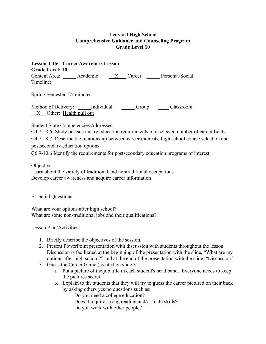**Lesson Title: Career Awareness Lesson Grade Level: 10** Content Area: Academic <u>X</u> Career Personal/Social Timeline:

Spring Semester: 25 minutes

Method of Delivery: \_\_\_\_\_Individual \_\_\_\_\_\_Group \_\_\_\_\_Classroom X Other: Health pull out

Student State Competencies Addressed:

C4.7 - 8.6: Study postsecondary education requirements of a selected number of career fields. C4.7 - 8.7: Describe the relationship between career interests, high school course selection and postsecondary education options.

C6.9-10.6 Identify the requirements for postsecondary education programs of interest.

Objective:

Learn about the variety of traditional and nontraditional occupations Develop career awareness and acquire career information

Essential Questions:

What are your options after high school? What are some non-traditional jobs and their qualifications?

Lesson Plan/Activities:

- 1. Briefly describe the objectives of the session.
- 2. Present PowerPoint presentation with discussion with students throughout the lesson. Discussion is facilitated at the beginning of the presentation with the slide, "What are my options after high school?" and at the end of the presentation with the slide, "Discussion."
- 3. Guess the Career Game (located on slide 3)
	- a. Put a picture of the job title in each student's head band. Everyone needs to keep the pictures secret.
	- b. Explain to the students that they will try to guess the career pictured on their back by asking others yes/no questions such as:

Do you need a college education?

Does it require strong reading and/or math skills?

Do you work with other people?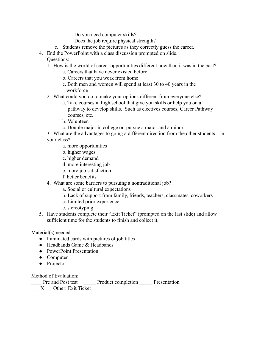Do you need computer skills?

Does the job require physical strength?

- c. Students remove the pictures as they correctly guess the career.
- 4. End the PowerPoint with a class discussion prompted on slide. Questions:
	- 1. How is the world of career opportunities different now than it was in the past?
		- a. Careers that have never existed before
		- b. Careers that you work from home
		- c. Both men and women will spend at least 30 to 40 years in the workforce
	- 2. What could you do to make your options different from everyone else?
		- a. Take courses in high school that give you skills or help you on a pathway to develop skills. Such as electives courses, Career Pathway courses, etc.
		- b. Volunteer.
		- c. Double major in college or pursue a major and a minor.

3. What are the advantages to going a different direction from the other students in your class?

- a. more opportunities
- b. higher wages
- c. higher demand
- d. more interesting job
- e. more job satisfaction
- f. better benefits
- 4. What are some barriers to pursuing a nontraditional job?
	- a. Social or cultural expectations
	- b. Lack of support from family, friends, teachers, classmates, coworkers
	- c. Limited prior experience
	- e. stereotyping
- 5. Have students complete their "Exit Ticket" (prompted on the last slide) and allow sufficient time for the students to finish and collect it.

Material(s) needed:

- Laminated cards with pictures of job titles
- Headbands Game & Headbands
- PowerPoint Presentation
- Computer
- Projector

Method of Evaluation:

Pre and Post test Product completion Presentation \_\_\_X\_\_\_ Other: Exit Ticket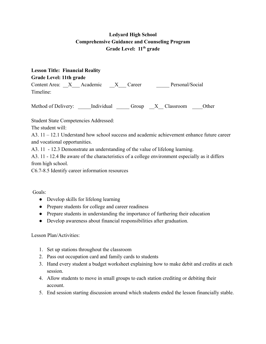**Lesson Title: Financial Reality Grade Level: 11th grade** Content Area:  $X$  Academic  $X$  Career Personal/Social Timeline:

Method of Delivery: <br>Individual Group X Classroom Other

Student State Competencies Addressed:

The student will:

A3. 11 – 12.1 Understand how school success and academic achievement enhance future career and vocational opportunities.

A3. 11 - 12.3 Demonstrate an understanding of the value of lifelong learning.

A3. 11 - 12.4 Be aware of the characteristics of a college environment especially as it differs from high school.

C6.7-8.5 Identify career information resources

Goals:

- Develop skills for lifelong learning
- Prepare students for college and career readiness
- Prepare students in understanding the importance of furthering their education
- Develop awareness about financial responsibilities after graduation.

Lesson Plan/Activities:

- 1. Set up stations throughout the classroom
- 2. Pass out occupation card and family cards to students
- 3. Hand every student a budget worksheet explaining how to make debit and credits at each session.
- 4. Allow students to move in small groups to each station crediting or debiting their account.
- 5. End session starting discussion around which students ended the lesson financially stable.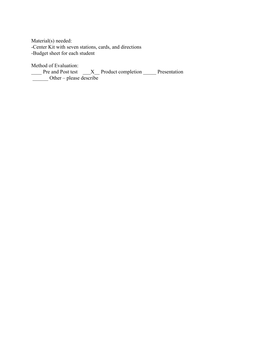Material(s) needed: -Center Kit with seven stations, cards, and directions -Budget sheet for each student

Method of Evaluation:

The and Post test \_\_\_X\_\_ Product completion \_\_\_\_\_ Presentation  $\frac{1}{\sqrt{2\pi}}$  Other – please describe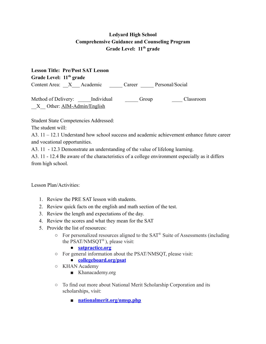**Lesson Title: Pre/Post SAT Lesson Grade Level: 11 th grade** Content Area: X Academic Career Personal/Social

Method of Delivery: <br>  $\blacksquare$  Individual  $\blacksquare$  Group  $\blacksquare$  Classroom X Other: AIM-Admin/English

Student State Competencies Addressed:

The student will:

A3. 11 – 12.1 Understand how school success and academic achievement enhance future career and vocational opportunities.

A3. 11 - 12.3 Demonstrate an understanding of the value of lifelong learning.

A3. 11 - 12.4 Be aware of the characteristics of a college environment especially as it differs from high school.

Lesson Plan/Activities:

- 1. Review the PRE SAT lesson with students.
- 2. Review quick facts on the english and math section of the test.
- 3. Review the length and expectations of the day.
- 4. Review the scores and what they mean for the SAT
- 5. Provide the list of resources:
	- $\circ$  For personalized resources aligned to the SAT® Suite of Assessments (including the PSAT/NMSQT<sup>®</sup>), please visit:
		- **● [satpractice.org](http://satpractice.org/)**
	- For general information about the PSAT/NMSQT, please visit:
		- **● [collegeboard.org/psat](http://collegeboard.org/psat)**
	- KHAN Academy
		- Khanacademy.org
	- To find out more about National Merit Scholarship Corporation and its scholarships, visit:
		- **[nationalmerit.org/nmsp.php](http://www.nationalmerit.org/s/1758/interior.aspx?sid=1758&gid=2&pgid=424)**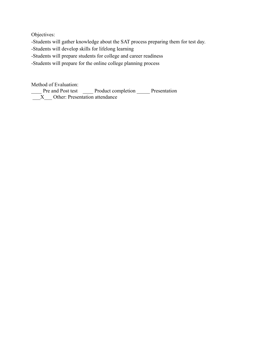Objectives:

-Students will gather knowledge about the SAT process preparing them for test day.

-Students will develop skills for lifelong learning

-Students will prepare students for college and career readiness

-Students will prepare for the online college planning process

Method of Evaluation:

Pre and Post test Product completion Presentation  $\underline{X}$  Other: Presentation attendance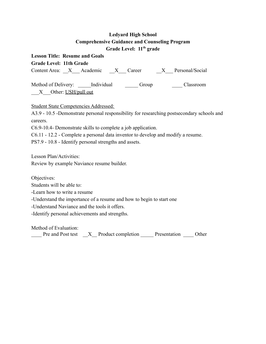| <b>Lesson Title: Resume and Goals</b>                                                                   |
|---------------------------------------------------------------------------------------------------------|
| <b>Grade Level: 11th Grade</b>                                                                          |
| Content Area: <u>X</u> Academic X Career X Personal/Social                                              |
| Method of Delivery: ______ Individual __________ Group _______<br>Classroom<br>__X__Other: USH/pull out |
| <b>Student State Competencies Addressed:</b>                                                            |
| A3.9 - 10.5 -Demonstrate personal responsibility for researching postsecondary schools and<br>careers.  |
| C6.9-10.4- Demonstrate skills to complete a job application.                                            |
| C6.11 - 12.2 - Complete a personal data inventor to develop and modify a resume.                        |
| PS7.9 - 10.8 - Identify personal strengths and assets.                                                  |
| Lesson Plan/Activities:                                                                                 |
| Review by example Naviance resume builder.                                                              |
| Objectives:                                                                                             |
| Students will be able to:                                                                               |
| -Learn how to write a resume                                                                            |
| -Understand the importance of a resume and how to begin to start one                                    |
| -Understand Naviance and the tools it offers.                                                           |
| -Identify personal achievements and strengths.                                                          |
|                                                                                                         |

Method of Evaluation:

The and Post test \_\_X\_\_ Product completion \_\_\_\_\_ Presentation \_\_\_\_\_ Other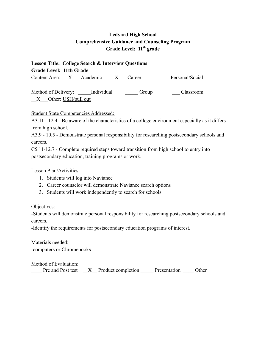**Lesson Title: College Search & Interview Questions Grade Level: 11th Grade** Content Area:  $X$  Academic  $X$  Career Personal/Social Method of Delivery: <br>  $\begin{array}{ccc} \text{Individual} & \text{Group} & \text{Classroom} \end{array}$ X Other: USH/pull out

Student State Competencies Addressed:

A3.11 - 12.4 - Be aware of the characteristics of a college environment especially as it differs from high school.

A3.9 - 10.5 - Demonstrate personal responsibility for researching postsecondary schools and careers.

C5.11-12.7 - Complete required steps toward transition from high school to entry into postsecondary education, training programs or work.

Lesson Plan/Activities:

- 1. Students will log into Naviance
- 2. Career counselor will demonstrate Naviance search options
- 3. Students will work independently to search for schools

Objectives:

-Students will demonstrate personal responsibility for researching postsecondary schools and careers.

-Identify the requirements for postsecondary education programs of interest.

Materials needed: -computers or Chromebooks

Method of Evaluation:

| Pre and Post test | X Product completion | Presentation | Other |
|-------------------|----------------------|--------------|-------|
|                   |                      |              |       |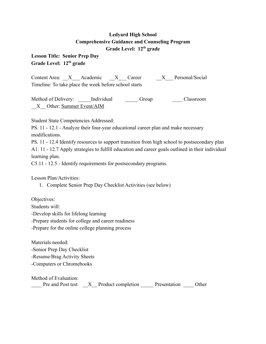**Lesson Title: Senior Prep Day Grade Level: 12th grade**

Content Area:  $X$  Academic  $X$  Career  $X$  Personal/Social Timeline: To take place the week before school starts

Method of Delivery: Lindividual Group Classroom X Other: Summer Event/AIM

Student State Competencies Addressed:

PS. 11 - 12.1 - Analyze their four-year educational career plan and make necessary modifications.

PS. 11 - 12.4 Identify resources to support transition from high school to postsecondary plan A1. 11 - 12.7 Apply strategies to fulfill education and career goals outlined in their individual learning plan.

C5.11 - 12.5 - Identify requirements for postsecondary programs.

Lesson Plan/Activities:

1. Complete Senior Prep Day Checklist Activities (see below)

Objectives:

Students will:

-Develop skills for lifelong learning

-Prepare students for college and career readiness

-Prepare for the online college planning process

Materials needed:

-Senior Prep Day Checklist

-Resume/Brag Activity Sheets

-Computers or Chromebooks

Method of Evaluation:

| Pre and Post test | X Product completion | Presentation | Other |
|-------------------|----------------------|--------------|-------|
|                   |                      |              |       |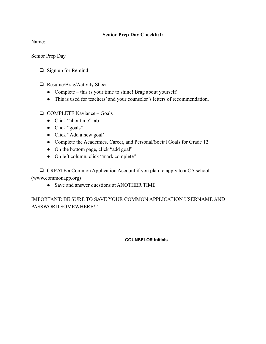#### **Senior Prep Day Checklist:**

Name:

Senior Prep Day

- ❏ Sign up for Remind
- ❏ Resume/Brag/Activity Sheet
	- Complete this is your time to shine! Brag about yourself!
	- This is used for teachers' and your counselor's letters of recommendation.

#### ❏ COMPLETE Naviance – Goals

- Click "about me" tab
- Click "goals"
- Click "Add a new goal"
- Complete the Academics, Career, and Personal/Social Goals for Grade 12
- On the bottom page, click "add goal"
- On left column, click "mark complete"

❏ CREATE a Common Application Account if you plan to apply to a CA school (www.commonapp.org)

• Save and answer questions at ANOTHER TIME

IMPORTANT: BE SURE TO SAVE YOUR COMMON APPLICATION USERNAME AND PASSWORD SOMEWHERE!!!

**COUNSELOR initials\_\_\_\_\_\_\_\_\_\_\_\_\_\_\_**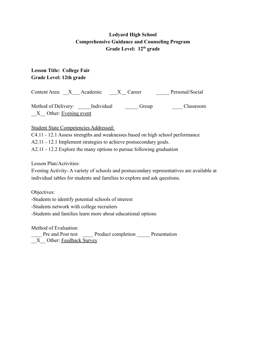## **Lesson Title: College Fair Grade Level: 12th grade**

Content Area: X Academic X Career Personal/Social

Method of Delivery: \_\_\_\_\_Individual \_\_\_\_\_\_\_\_ Group \_\_\_\_\_\_\_\_ Classroom X Other: Evening event

Student State Competencies Addressed:

C4.11 - 12.1 Assess strengths and weaknesses based on high school performance

A2.11 - 12.1 Implement strategies to achieve postsecondary goals.

A2.11 - 12.2 Explore the many options to pursue following graduation

Lesson Plan/Activities:

Evening Activity- A variety of schools and postsecondary representatives are available at individual tables for students and families to explore and ask questions.

Objectives:

-Students to identify potential schools of interest

-Students network with college recruiters

-Students and families learn more about educational options

Method of Evaluation:

Pre and Post test Product completion Presentation  $X$  Other: Feedback Survey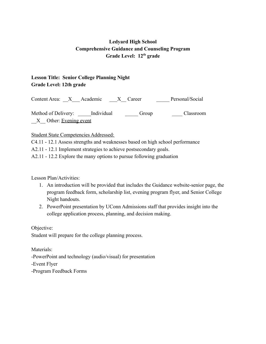## **Lesson Title: Senior College Planning Night Grade Level: 12th grade**

Content Area:  $X$  Academic  $X$  Career Personal/Social Method of Delivery: <br>  $\begin{array}{ccc} \text{Individual} & \text{Group} & \text{Classroom} \end{array}$ X Other: Evening event

#### Student State Competencies Addressed:

C4.11 - 12.1 Assess strengths and weaknesses based on high school performance

A2.11 - 12.1 Implement strategies to achieve postsecondary goals.

A2.11 - 12.2 Explore the many options to pursue following graduation

Lesson Plan/Activities:

- 1. An introduction will be provided that includes the Guidance website-senior page, the program feedback form, scholarship list, evening program flyer, and Senior College Night handouts.
- 2. PowerPoint presentation by UConn Admissions staff that provides insight into the college application process, planning, and decision making.

Objective: Student will prepare for the college planning process.

Materials:

-PowerPoint and technology (audio/visual) for presentation

-Event Flyer

-Program Feedback Forms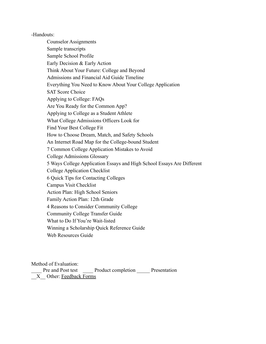-Handouts:

Counselor Assignments Sample transcripts Sample School Profile Early Decision & Early Action Think About Your Future: College and Beyond Admissions and Financial Aid Guide Timeline Everything You Need to Know About Your College Application SAT Score Choice Applying to College: FAQs Are You Ready for the Common App? Applying to College as a Student Athlete What College Admissions Officers Look for Find Your Best College Fit How to Choose Dream, Match, and Safety Schools An Internet Road Map for the College-bound Student 7 Common College Application Mistakes to Avoid College Admissions Glossary 5 Ways College Application Essays and High School Essays Are Different College Application Checklist 6 Quick Tips for Contacting Colleges Campus Visit Checklist Action Plan: High School Seniors Family Action Plan: 12th Grade 4 Reasons to Consider Community College Community College Transfer Guide What to Do If You're Wait-listed Winning a Scholarship Quick Reference Guide Web Resources Guide

Method of Evaluation:

Pre and Post test Product completion Presentation  $X$  Other: Feedback Forms